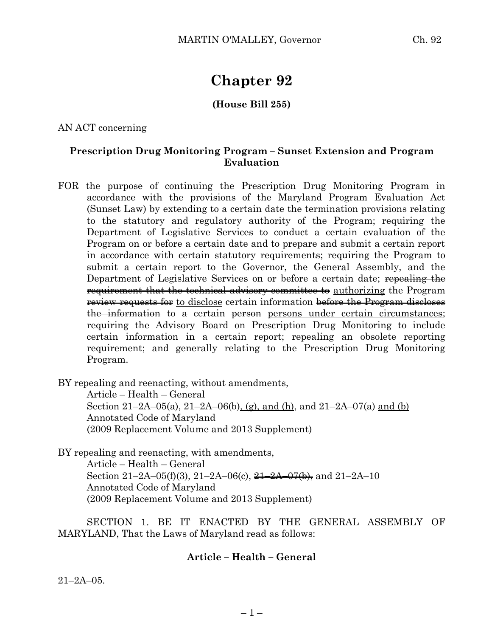# **Chapter 92**

# **(House Bill 255)**

AN ACT concerning

### **Prescription Drug Monitoring Program – Sunset Extension and Program Evaluation**

FOR the purpose of continuing the Prescription Drug Monitoring Program in accordance with the provisions of the Maryland Program Evaluation Act (Sunset Law) by extending to a certain date the termination provisions relating to the statutory and regulatory authority of the Program; requiring the Department of Legislative Services to conduct a certain evaluation of the Program on or before a certain date and to prepare and submit a certain report in accordance with certain statutory requirements; requiring the Program to submit a certain report to the Governor, the General Assembly, and the Department of Legislative Services on or before a certain date; repealing the requirement that the technical advisory committee to authorizing the Program review requests for to disclose certain information before the Program discloses the information to a certain person persons under certain circumstances; requiring the Advisory Board on Prescription Drug Monitoring to include certain information in a certain report; repealing an obsolete reporting requirement; and generally relating to the Prescription Drug Monitoring Program.

BY repealing and reenacting, without amendments,

Article – Health – General Section 21–2A–05(a), 21–2A–06(b), (g), and (h), and 21–2A–07(a) and (b) Annotated Code of Maryland (2009 Replacement Volume and 2013 Supplement)

BY repealing and reenacting, with amendments,

Article – Health – General Section 21–2A–05(f)(3), 21–2A–06(c),  $\frac{21-2A-07(b)}{21}$ , and 21–2A–10 Annotated Code of Maryland (2009 Replacement Volume and 2013 Supplement)

SECTION 1. BE IT ENACTED BY THE GENERAL ASSEMBLY OF MARYLAND, That the Laws of Maryland read as follows:

### **Article – Health – General**

 $21 - 2A - 05$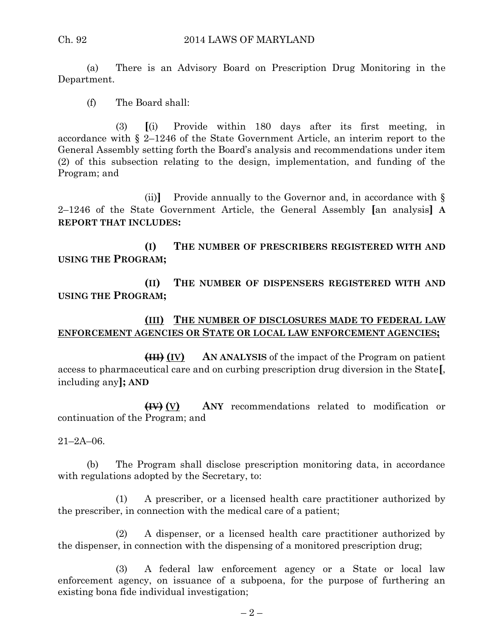(a) There is an Advisory Board on Prescription Drug Monitoring in the Department.

(f) The Board shall:

(3) **[**(i) Provide within 180 days after its first meeting, in accordance with § 2–1246 of the State Government Article, an interim report to the General Assembly setting forth the Board's analysis and recommendations under item (2) of this subsection relating to the design, implementation, and funding of the Program; and

(ii)**]** Provide annually to the Governor and, in accordance with § 2–1246 of the State Government Article, the General Assembly **[**an analysis**] A REPORT THAT INCLUDES:**

**(I) THE NUMBER OF PRESCRIBERS REGISTERED WITH AND USING THE PROGRAM;**

**(II) THE NUMBER OF DISPENSERS REGISTERED WITH AND USING THE PROGRAM;**

### **(III) THE NUMBER OF DISCLOSURES MADE TO FEDERAL LAW ENFORCEMENT AGENCIES OR STATE OR LOCAL LAW ENFORCEMENT AGENCIES;**

**(III) (IV) AN ANALYSIS** of the impact of the Program on patient access to pharmaceutical care and on curbing prescription drug diversion in the State**[**, including any**]; AND**

**(IV) (V) ANY** recommendations related to modification or continuation of the Program; and

21–2A–06.

(b) The Program shall disclose prescription monitoring data, in accordance with regulations adopted by the Secretary, to:

(1) A prescriber, or a licensed health care practitioner authorized by the prescriber, in connection with the medical care of a patient;

(2) A dispenser, or a licensed health care practitioner authorized by the dispenser, in connection with the dispensing of a monitored prescription drug;

(3) A federal law enforcement agency or a State or local law enforcement agency, on issuance of a subpoena, for the purpose of furthering an existing bona fide individual investigation;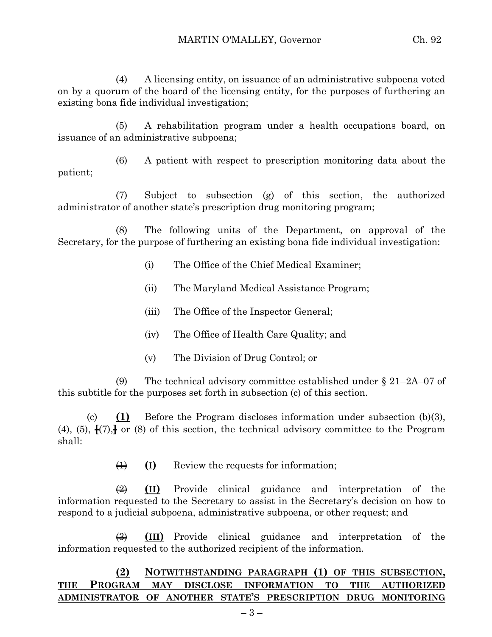(4) A licensing entity, on issuance of an administrative subpoena voted on by a quorum of the board of the licensing entity, for the purposes of furthering an existing bona fide individual investigation;

(5) A rehabilitation program under a health occupations board, on issuance of an administrative subpoena;

(6) A patient with respect to prescription monitoring data about the patient;

(7) Subject to subsection (g) of this section, the authorized administrator of another state's prescription drug monitoring program;

(8) The following units of the Department, on approval of the Secretary, for the purpose of furthering an existing bona fide individual investigation:

- (i) The Office of the Chief Medical Examiner;
- (ii) The Maryland Medical Assistance Program;
- (iii) The Office of the Inspector General;
- (iv) The Office of Health Care Quality; and
- (v) The Division of Drug Control; or

(9) The technical advisory committee established under  $\S 21-2A-07$  of this subtitle for the purposes set forth in subsection (c) of this section.

(c) **(1)** Before the Program discloses information under subsection (b)(3), (4), (5),  $\frac{1}{2}$  (7),  $\frac{1}{2}$  or (8) of this section, the technical advisory committee to the Program shall:

(1) **(I)** Review the requests for information;

(2) **(II)** Provide clinical guidance and interpretation of the information requested to the Secretary to assist in the Secretary's decision on how to respond to a judicial subpoena, administrative subpoena, or other request; and

(3) **(III)** Provide clinical guidance and interpretation of the information requested to the authorized recipient of the information.

## **(2) NOTWITHSTANDING PARAGRAPH (1) OF THIS SUBSECTION, THE PROGRAM MAY DISCLOSE INFORMATION TO THE AUTHORIZED ADMINISTRATOR OF ANOTHER STATE'S PRESCRIPTION DRUG MONITORING**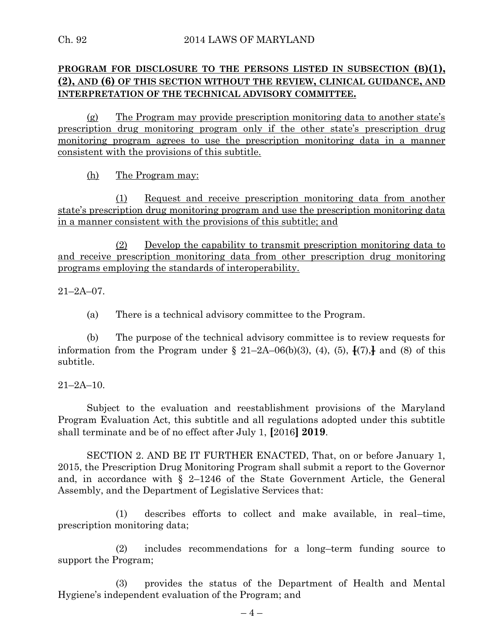# **PROGRAM FOR DISCLOSURE TO THE PERSONS LISTED IN SUBSECTION (B)(1), (2), AND (6) OF THIS SECTION WITHOUT THE REVIEW, CLINICAL GUIDANCE, AND INTERPRETATION OF THE TECHNICAL ADVISORY COMMITTEE.**

(g) The Program may provide prescription monitoring data to another state's prescription drug monitoring program only if the other state's prescription drug monitoring program agrees to use the prescription monitoring data in a manner consistent with the provisions of this subtitle.

(h) The Program may:

(1) Request and receive prescription monitoring data from another state's prescription drug monitoring program and use the prescription monitoring data in a manner consistent with the provisions of this subtitle; and

(2) Develop the capability to transmit prescription monitoring data to and receive prescription monitoring data from other prescription drug monitoring programs employing the standards of interoperability.

 $21 - 2A - 07$ .

(a) There is a technical advisory committee to the Program.

(b) The purpose of the technical advisory committee is to review requests for information from the Program under  $\S$  21–2A–06(b)(3), (4), (5),  $\frac{1}{2}$  (7),  $\frac{1}{2}$  and (8) of this subtitle.

21–2A–10.

Subject to the evaluation and reestablishment provisions of the Maryland Program Evaluation Act, this subtitle and all regulations adopted under this subtitle shall terminate and be of no effect after July 1, **[**2016**] 2019**.

SECTION 2. AND BE IT FURTHER ENACTED, That, on or before January 1, 2015, the Prescription Drug Monitoring Program shall submit a report to the Governor and, in accordance with § 2–1246 of the State Government Article, the General Assembly, and the Department of Legislative Services that:

(1) describes efforts to collect and make available, in real–time, prescription monitoring data;

(2) includes recommendations for a long–term funding source to support the Program;

(3) provides the status of the Department of Health and Mental Hygiene's independent evaluation of the Program; and